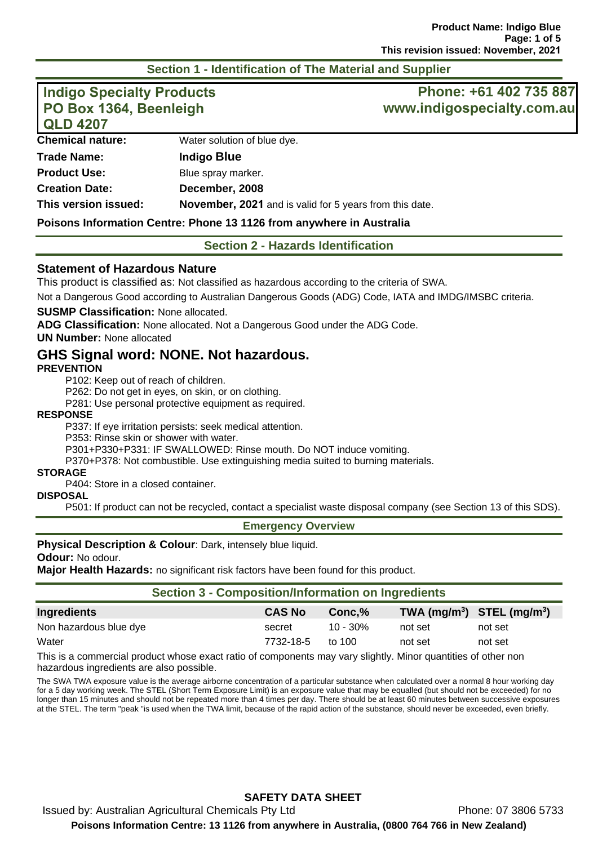#### **Section 1 - Identification of The Material and Supplier**

| <b>Indigo Specialty Products</b><br>PO Box 1364, Beenleigh<br><b>QLD 4207</b> |                                                         | Phone: +61 402 735 887<br>www.indigospecialty.com.au |  |
|-------------------------------------------------------------------------------|---------------------------------------------------------|------------------------------------------------------|--|
| <b>Chemical nature:</b>                                                       | Water solution of blue dye.                             |                                                      |  |
| <b>Trade Name:</b>                                                            | <b>Indigo Blue</b>                                      |                                                      |  |
| <b>Product Use:</b>                                                           | Blue spray marker.                                      |                                                      |  |
| <b>Creation Date:</b>                                                         | December, 2008                                          |                                                      |  |
| This version issued:                                                          | November, 2021 and is valid for 5 years from this date. |                                                      |  |

#### **Poisons Information Centre: Phone 13 1126 from anywhere in Australia**

**Section 2 - Hazards Identification** 

#### **Statement of Hazardous Nature**

This product is classified as: Not classified as hazardous according to the criteria of SWA.

Not a Dangerous Good according to Australian Dangerous Goods (ADG) Code, IATA and IMDG/IMSBC criteria.

#### **SUSMP Classification:** None allocated.

**ADG Classification:** None allocated. Not a Dangerous Good under the ADG Code.

**UN Number:** None allocated

#### **GHS Signal word: NONE. Not hazardous.**

#### **PREVENTION**

P102: Keep out of reach of children.

P262: Do not get in eyes, on skin, or on clothing.

P281: Use personal protective equipment as required.

#### **RESPONSE**

P337: If eye irritation persists: seek medical attention.

P353: Rinse skin or shower with water.

P301+P330+P331: IF SWALLOWED: Rinse mouth. Do NOT induce vomiting.

P370+P378: Not combustible. Use extinguishing media suited to burning materials.

#### **STORAGE**

P404: Store in a closed container.

#### **DISPOSAL**

P501: If product can not be recycled, contact a specialist waste disposal company (see Section 13 of this SDS).

#### **Emergency Overview**

#### **Physical Description & Colour: Dark, intensely blue liquid.**

**Odour:** No odour.

**Major Health Hazards:** no significant risk factors have been found for this product.

| <b>Section 3 - Composition/Information on Ingredients</b> |               |             |         |                              |  |
|-----------------------------------------------------------|---------------|-------------|---------|------------------------------|--|
| Ingredients                                               | <b>CAS No</b> | Conc.%      |         | TWA $(mg/m3)$ STEL $(mg/m3)$ |  |
| Non hazardous blue dye                                    | secret        | $10 - 30\%$ | not set | not set                      |  |
| Water                                                     | 7732-18-5     | to 100      | not set | not set                      |  |
|                                                           |               |             |         |                              |  |

This is a commercial product whose exact ratio of components may vary slightly. Minor quantities of other non hazardous ingredients are also possible.

The SWA TWA exposure value is the average airborne concentration of a particular substance when calculated over a normal 8 hour working day for a 5 day working week. The STEL (Short Term Exposure Limit) is an exposure value that may be equalled (but should not be exceeded) for no longer than 15 minutes and should not be repeated more than 4 times per day. There should be at least 60 minutes between successive exposures at the STEL. The term "peak "is used when the TWA limit, because of the rapid action of the substance, should never be exceeded, even briefly.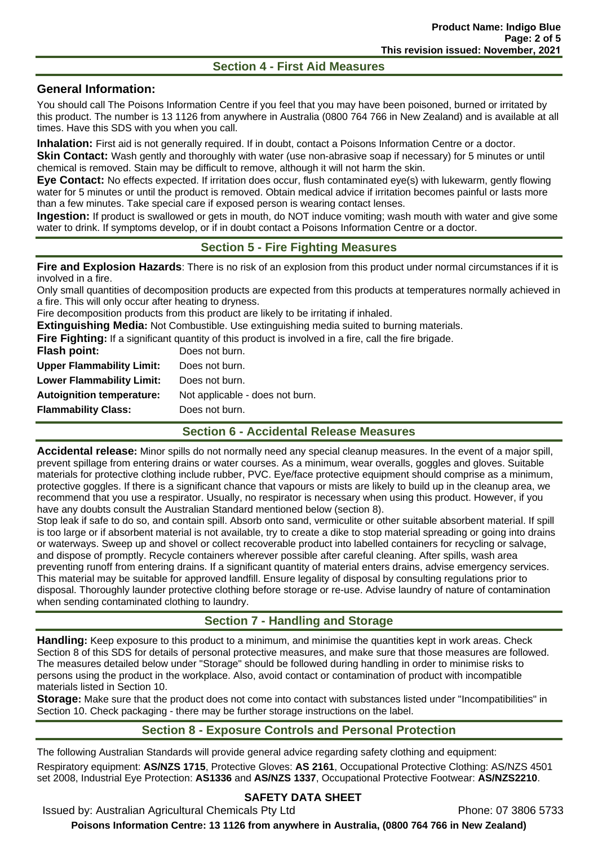#### **Section 4 - First Aid Measures**

## **General Information:**

You should call The Poisons Information Centre if you feel that you may have been poisoned, burned or irritated by this product. The number is 13 1126 from anywhere in Australia (0800 764 766 in New Zealand) and is available at all times. Have this SDS with you when you call.

**Inhalation:** First aid is not generally required. If in doubt, contact a Poisons Information Centre or a doctor.

**Skin Contact:** Wash gently and thoroughly with water (use non-abrasive soap if necessary) for 5 minutes or until chemical is removed. Stain may be difficult to remove, although it will not harm the skin.

**Eye Contact:** No effects expected. If irritation does occur, flush contaminated eye(s) with lukewarm, gently flowing water for 5 minutes or until the product is removed. Obtain medical advice if irritation becomes painful or lasts more than a few minutes. Take special care if exposed person is wearing contact lenses.

**Ingestion:** If product is swallowed or gets in mouth, do NOT induce vomiting; wash mouth with water and give some water to drink. If symptoms develop, or if in doubt contact a Poisons Information Centre or a doctor.

#### **Section 5 - Fire Fighting Measures**

**Fire and Explosion Hazards**: There is no risk of an explosion from this product under normal circumstances if it is involved in a fire.

Only small quantities of decomposition products are expected from this products at temperatures normally achieved in a fire. This will only occur after heating to dryness.

Fire decomposition products from this product are likely to be irritating if inhaled.

**Extinguishing Media:** Not Combustible. Use extinguishing media suited to burning materials.

**Fire Fighting:** If a significant quantity of this product is involved in a fire, call the fire brigade.

| Not applicable - does not burn. |
|---------------------------------|
|                                 |
|                                 |

#### **Section 6 - Accidental Release Measures**

**Accidental release:** Minor spills do not normally need any special cleanup measures. In the event of a major spill, prevent spillage from entering drains or water courses. As a minimum, wear overalls, goggles and gloves. Suitable materials for protective clothing include rubber, PVC. Eye/face protective equipment should comprise as a minimum, protective goggles. If there is a significant chance that vapours or mists are likely to build up in the cleanup area, we recommend that you use a respirator. Usually, no respirator is necessary when using this product. However, if you have any doubts consult the Australian Standard mentioned below (section 8).

Stop leak if safe to do so, and contain spill. Absorb onto sand, vermiculite or other suitable absorbent material. If spill is too large or if absorbent material is not available, try to create a dike to stop material spreading or going into drains or waterways. Sweep up and shovel or collect recoverable product into labelled containers for recycling or salvage, and dispose of promptly. Recycle containers wherever possible after careful cleaning. After spills, wash area preventing runoff from entering drains. If a significant quantity of material enters drains, advise emergency services. This material may be suitable for approved landfill. Ensure legality of disposal by consulting regulations prior to disposal. Thoroughly launder protective clothing before storage or re-use. Advise laundry of nature of contamination when sending contaminated clothing to laundry.

# **Section 7 - Handling and Storage**

**Handling:** Keep exposure to this product to a minimum, and minimise the quantities kept in work areas. Check Section 8 of this SDS for details of personal protective measures, and make sure that those measures are followed. The measures detailed below under "Storage" should be followed during handling in order to minimise risks to persons using the product in the workplace. Also, avoid contact or contamination of product with incompatible materials listed in Section 10.

**Storage:** Make sure that the product does not come into contact with substances listed under "Incompatibilities" in Section 10. Check packaging - there may be further storage instructions on the label.

# **Section 8 - Exposure Controls and Personal Protection**

The following Australian Standards will provide general advice regarding safety clothing and equipment: Respiratory equipment: **AS/NZS 1715**, Protective Gloves: **AS 2161**, Occupational Protective Clothing: AS/NZS 4501 set 2008, Industrial Eye Protection: **AS1336** and **AS/NZS 1337**, Occupational Protective Footwear: **AS/NZS2210**.

# **SAFETY DATA SHEET**

Issued by: Australian Agricultural Chemicals Pty Ltd **Phone: 07 3806 5733** 

**Poisons Information Centre: 13 1126 from anywhere in Australia, (0800 764 766 in New Zealand)**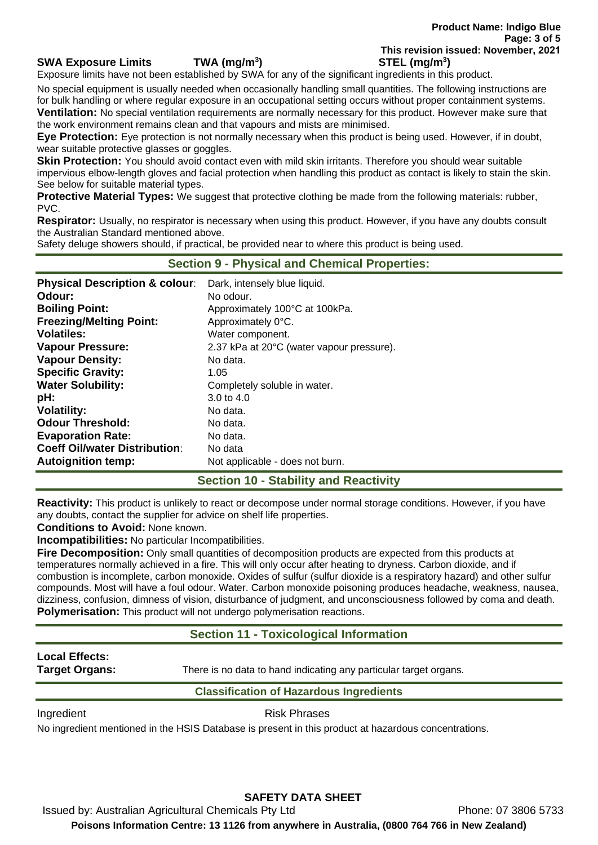#### **SWA Exposure Limits TWA (mg/m<sup>3</sup>**

Exposure limits have not been established by SWA for any of the significant ingredients in this product.

No special equipment is usually needed when occasionally handling small quantities. The following instructions are for bulk handling or where regular exposure in an occupational setting occurs without proper containment systems. **Ventilation:** No special ventilation requirements are normally necessary for this product. However make sure that the work environment remains clean and that vapours and mists are minimised.

**Eye Protection:** Eye protection is not normally necessary when this product is being used. However, if in doubt, wear suitable protective glasses or goggles.

**Skin Protection:** You should avoid contact even with mild skin irritants. Therefore you should wear suitable impervious elbow-length gloves and facial protection when handling this product as contact is likely to stain the skin. See below for suitable material types.

**Protective Material Types:** We suggest that protective clothing be made from the following materials: rubber, PVC.

**Respirator:** Usually, no respirator is necessary when using this product. However, if you have any doubts consult the Australian Standard mentioned above.

Safety deluge showers should, if practical, be provided near to where this product is being used.

| <b>Section 9 - Physical and Chemical Properties:</b> |                                           |  |
|------------------------------------------------------|-------------------------------------------|--|
| <b>Physical Description &amp; colour:</b>            | Dark, intensely blue liquid.              |  |
| Odour:                                               | No odour.                                 |  |
| <b>Boiling Point:</b>                                | Approximately 100°C at 100kPa.            |  |
| <b>Freezing/Melting Point:</b>                       | Approximately 0°C.                        |  |
| <b>Volatiles:</b>                                    | Water component.                          |  |
| <b>Vapour Pressure:</b>                              | 2.37 kPa at 20°C (water vapour pressure). |  |
| <b>Vapour Density:</b>                               | No data.                                  |  |
| <b>Specific Gravity:</b>                             | 1.05                                      |  |
| <b>Water Solubility:</b>                             | Completely soluble in water.              |  |
| pH:                                                  | 3.0 to $4.0$                              |  |
| <b>Volatility:</b>                                   | No data.                                  |  |
| <b>Odour Threshold:</b>                              | No data.                                  |  |
| <b>Evaporation Rate:</b>                             | No data.                                  |  |
| <b>Coeff Oil/water Distribution:</b>                 | No data                                   |  |
| <b>Autoignition temp:</b>                            | Not applicable - does not burn.           |  |

#### **Section 10 - Stability and Reactivity**

**Reactivity:** This product is unlikely to react or decompose under normal storage conditions. However, if you have any doubts, contact the supplier for advice on shelf life properties.

**Conditions to Avoid:** None known.

**Incompatibilities:** No particular Incompatibilities.

**Fire Decomposition:** Only small quantities of decomposition products are expected from this products at temperatures normally achieved in a fire. This will only occur after heating to dryness. Carbon dioxide, and if combustion is incomplete, carbon monoxide. Oxides of sulfur (sulfur dioxide is a respiratory hazard) and other sulfur compounds. Most will have a foul odour. Water. Carbon monoxide poisoning produces headache, weakness, nausea, dizziness, confusion, dimness of vision, disturbance of judgment, and unconsciousness followed by coma and death. **Polymerisation:** This product will not undergo polymerisation reactions.

#### **Section 11 - Toxicological Information**

# **Local Effects:**

**Target Organs:** There is no data to hand indicating any particular target organs.

Ingredient **Risk Phrases** 

**Classification of Hazardous Ingredients** 

No ingredient mentioned in the HSIS Database is present in this product at hazardous concentrations.

# **SAFETY DATA SHEET**

Issued by: Australian Agricultural Chemicals Pty Ltd **Phone: 07 3806 5733 Poisons Information Centre: 13 1126 from anywhere in Australia, (0800 764 766 in New Zealand)**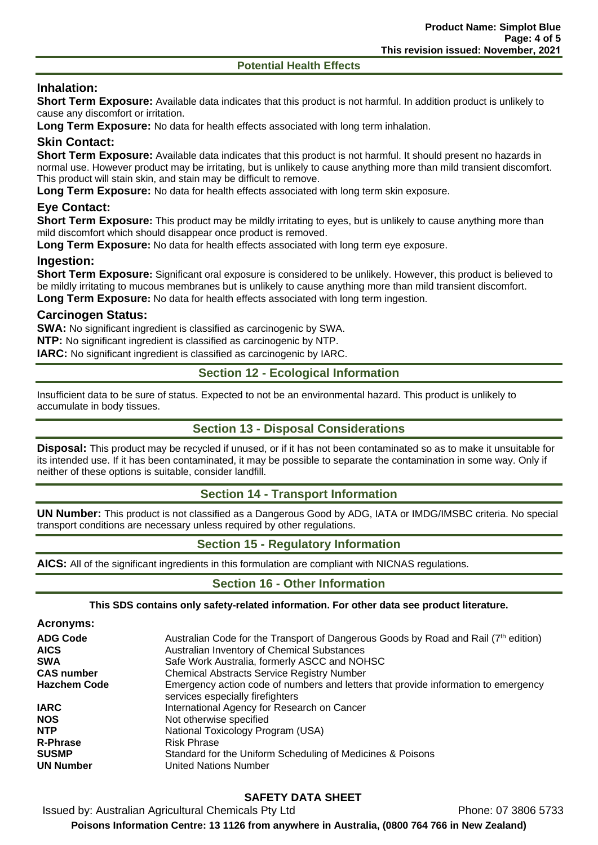#### **Potential Health Effects**

# **Inhalation:**

**Short Term Exposure:** Available data indicates that this product is not harmful. In addition product is unlikely to cause any discomfort or irritation.

**Long Term Exposure:** No data for health effects associated with long term inhalation.

# **Skin Contact:**

**Short Term Exposure:** Available data indicates that this product is not harmful. It should present no hazards in normal use. However product may be irritating, but is unlikely to cause anything more than mild transient discomfort. This product will stain skin, and stain may be difficult to remove.

**Long Term Exposure:** No data for health effects associated with long term skin exposure.

## **Eye Contact:**

**Short Term Exposure:** This product may be mildly irritating to eyes, but is unlikely to cause anything more than mild discomfort which should disappear once product is removed.

**Long Term Exposure:** No data for health effects associated with long term eye exposure.

#### **Ingestion:**

**Short Term Exposure:** Significant oral exposure is considered to be unlikely. However, this product is believed to be mildly irritating to mucous membranes but is unlikely to cause anything more than mild transient discomfort. **Long Term Exposure:** No data for health effects associated with long term ingestion.

#### **Carcinogen Status:**

**SWA:** No significant ingredient is classified as carcinogenic by SWA.

**NTP:** No significant ingredient is classified as carcinogenic by NTP.

**IARC:** No significant ingredient is classified as carcinogenic by IARC.

# **Section 12 - Ecological Information**

Insufficient data to be sure of status. Expected to not be an environmental hazard. This product is unlikely to accumulate in body tissues.

## **Section 13 - Disposal Considerations**

**Disposal:** This product may be recycled if unused, or if it has not been contaminated so as to make it unsuitable for its intended use. If it has been contaminated, it may be possible to separate the contamination in some way. Only if neither of these options is suitable, consider landfill.

#### **Section 14 - Transport Information**

**UN Number:** This product is not classified as a Dangerous Good by ADG, IATA or IMDG/IMSBC criteria. No special transport conditions are necessary unless required by other regulations.

# **Section 15 - Regulatory Information**

**AICS:** All of the significant ingredients in this formulation are compliant with NICNAS regulations.

# **Section 16 - Other Information**

#### **This SDS contains only safety-related information. For other data see product literature.**

| <b>ADG Code</b>     | Australian Code for the Transport of Dangerous Goods by Road and Rail (7 <sup>th</sup> edition)                        |
|---------------------|------------------------------------------------------------------------------------------------------------------------|
| <b>AICS</b>         | Australian Inventory of Chemical Substances                                                                            |
| <b>SWA</b>          | Safe Work Australia, formerly ASCC and NOHSC                                                                           |
| <b>CAS number</b>   | <b>Chemical Abstracts Service Registry Number</b>                                                                      |
| <b>Hazchem Code</b> | Emergency action code of numbers and letters that provide information to emergency<br>services especially firefighters |
| <b>IARC</b>         | International Agency for Research on Cancer                                                                            |
| <b>NOS</b>          | Not otherwise specified                                                                                                |
| <b>NTP</b>          | National Toxicology Program (USA)                                                                                      |
| <b>R-Phrase</b>     | <b>Risk Phrase</b>                                                                                                     |
| <b>SUSMP</b>        | Standard for the Uniform Scheduling of Medicines & Poisons                                                             |
| <b>UN Number</b>    | <b>United Nations Number</b>                                                                                           |

# **SAFETY DATA SHEET**

Issued by: Australian Agricultural Chemicals Pty Ltd **Phone: 07 3806 5733 Poisons Information Centre: 13 1126 from anywhere in Australia, (0800 764 766 in New Zealand)**